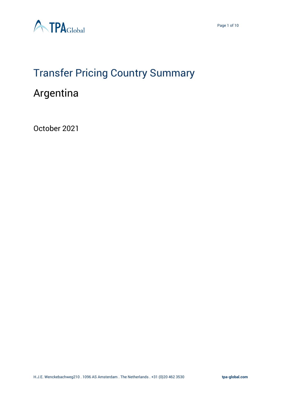

# Transfer Pricing Country Summary

## Argentina

October 2021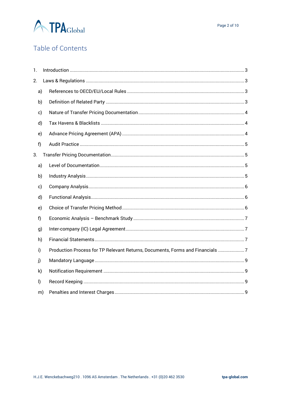

## Table of Contents

| $\mathbf{1}$ . |    |                                                                               |  |
|----------------|----|-------------------------------------------------------------------------------|--|
| 2.             |    |                                                                               |  |
| a)             |    |                                                                               |  |
| b)             |    |                                                                               |  |
| c)             |    |                                                                               |  |
| d)             |    |                                                                               |  |
| e)             |    |                                                                               |  |
| f)             |    |                                                                               |  |
| 3.             |    |                                                                               |  |
| a)             |    |                                                                               |  |
| b)             |    |                                                                               |  |
| c)             |    |                                                                               |  |
| d)             |    |                                                                               |  |
| e)             |    |                                                                               |  |
| f              |    |                                                                               |  |
| g)             |    |                                                                               |  |
| h)             |    |                                                                               |  |
| i)             |    | Production Process for TP Relevant Returns, Documents, Forms and Financials 7 |  |
| j)             |    |                                                                               |  |
| k)             |    |                                                                               |  |
| $\vert$        |    |                                                                               |  |
|                | m) |                                                                               |  |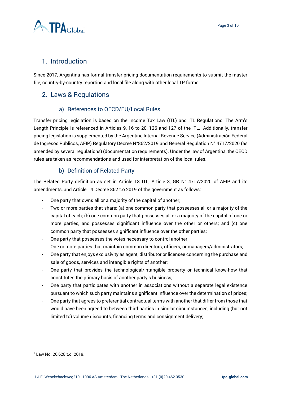

## <span id="page-2-0"></span>1. Introduction

Since 2017, Argentina has formal transfer pricing documentation requirements to submit the master file, country-by-country reporting and local file along with other local TP forms.

## <span id="page-2-1"></span>2. Laws & Regulations

#### a) References to OECD/EU/Local Rules

<span id="page-2-2"></span>Transfer pricing legislation is based on the Income Tax Law (ITL) and ITL Regulations. The Arm's Length Principle is referenced in Articles 9, 16 to 20, 126 and 127 of the ITL.<sup>1</sup> Additionally, transfer pricing legislation is supplemented by the Argentine Internal Revenue Service (Administración Federal de Ingresos Públicos, AFIP) Regulatory Decree N°862/2019 and General Regulation N° 4717/2020 (as amended by several regulations) (documentation requirements). Under the law of Argentina, the OECD rules are taken as recommendations and used for interpretation of the local rules.

#### b) Definition of Related Party

<span id="page-2-3"></span>The Related Party definition as set in Article 18 ITL, Article 3, GR N° 4717/2020 of AFIP and its amendments, and Article 14 Decree 862 t.o 2019 of the government as follows:

- One party that owns all or a majority of the capital of another;
- Two or more parties that share: (a) one common party that possesses all or a majority of the capital of each; (b) one common party that possesses all or a majority of the capital of one or more parties, and possesses significant influence over the other or others; and (c) one common party that possesses significant influence over the other parties;
- One party that possesses the votes necessary to control another;
- One or more parties that maintain common directors, officers, or managers/administrators;
- One party that enjoys exclusivity as agent, distributor or licensee concerning the purchase and sale of goods, services and intangible rights of another;
- One party that provides the technological/intangible property or technical know-how that constitutes the primary basis of another party's business;
- One party that participates with another in associations without a separate legal existence pursuant to which such party maintains significant influence over the determination of prices;
- One party that agrees to preferential contractual terms with another that differ from those that would have been agreed to between third parties in similar circumstances, including (but not limited to) volume discounts, financing terms and consignment delivery;

<sup>1</sup> Law No. 20,628 t.o. 2019.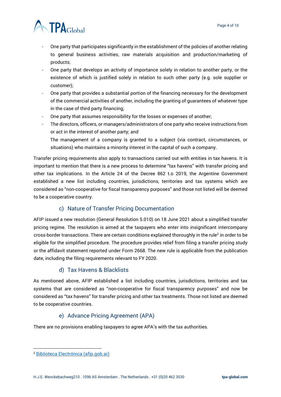

- One party that participates significantly in the establishment of the policies of another relating to general business activities, raw materials acquisition and production/marketing of products;
- One party that develops an activity of importance solely in relation to another party, or the existence of which is justified solely in relation to such other party (e.g. sole supplier or customer);
- One party that provides a substantial portion of the financing necessary for the development of the commercial activities of another, including the granting of guarantees of whatever type in the case of third party financing;
- One party that assumes responsibility for the losses or expenses of another;
- The directors, officers, or managers/administrators of one party who receive instructions from or act in the interest of another party; and The management of a company is granted to a subject (via contract, circumstances, or situations) who maintains a minority interest in the capital of such a company.

Transfer pricing requirements also apply to transactions carried out with entities in tax havens. It is important to mention that there is a new process to determine "tax havens" with transfer pricing and other tax implications. In the Article 24 of the Decree 862 t.o 2019, the Argentine Government established a new list including countries, jurisdictions, territories and tax systems which are considered as "non-cooperative for fiscal transparency purposes" and those not listed will be deemed to be a cooperative country.

#### c) Nature of Transfer Pricing Documentation

<span id="page-3-0"></span>AFIP issued a new resolution (General Resolution 5.010) on 18 June 2021 about a simplified transfer pricing regime. The resolution is aimed at the taxpayers who enter into insignificant intercompany cross-border transactions. There are certain conditions explained thoroughly in the rule<sup>2</sup> in order to be eligible for the simplified procedure. The procedure provides relief from filing a transfer pricing study or the affidavit statement reported under Form 2668. The new rule is applicable from the publication date, including the filing requirements relevant to FY 2020.

#### d) Tax Havens & Blacklists

<span id="page-3-1"></span>As mentioned above, AFIP established a list including countries, jurisdictions, territories and tax systems that are considered as "non-cooperative for fiscal transparency purposes" and now be considered as "tax havens" for transfer pricing and other tax treatments. Those not listed are deemed to be cooperative countries.

#### e) Advance Pricing Agreement (APA)

<span id="page-3-2"></span>There are no provisions enabling taxpayers to agree APA's with the tax authorities.

<sup>2</sup> [Biblioteca Electrónica \(afip.gob.ar\)](http://biblioteca.afip.gob.ar/dcp/REAG01005010_2021_06_16)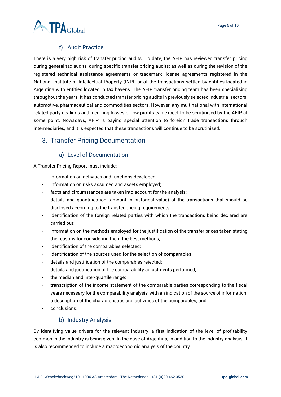

#### f) Audit Practice

<span id="page-4-0"></span>There is a very high risk of transfer pricing audits. To date, the AFIP has reviewed transfer pricing during general tax audits, during specific transfer pricing audits; as well as during the revision of the registered technical assistance agreements or trademark license agreements registered in the National Institute of Intellectual Property (INPI) or of the transactions settled by entities located in Argentina with entities located in tax havens. The AFIP transfer pricing team has been specialising throughout the years. It has conducted transfer pricing audits in previously selected industrial sectors: automotive, pharmaceutical and commodities sectors. However, any multinational with international related party dealings and incurring losses or low profits can expect to be scrutinised by the AFIP at some point. Nowadays, AFIP is paying special attention to foreign trade transactions through intermediaries, and it is expected that these transactions will continue to be scrutinised.

## <span id="page-4-1"></span>3. Transfer Pricing Documentation

#### a) Level of Documentation

<span id="page-4-2"></span>A Transfer Pricing Report must include:

- information on activities and functions developed;
- information on risks assumed and assets employed;
- facts and circumstances are taken into account for the analysis;
- details and quantification (amount in historical value) of the transactions that should be disclosed according to the transfer pricing requirements;
- identification of the foreign related parties with which the transactions being declared are carried out;
- information on the methods employed for the justification of the transfer prices taken stating the reasons for considering them the best methods;
- identification of the comparables selected;
- identification of the sources used for the selection of comparables;
- details and justification of the comparables rejected;
- details and justification of the comparability adjustments performed;
- the median and inter-quartile range;
- transcription of the income statement of the comparable parties corresponding to the fiscal years necessary for the comparability analysis, with an indication of the source of information;
- a description of the characteristics and activities of the comparables; and
- conclusions.

#### b) Industry Analysis

<span id="page-4-3"></span>By identifying value drivers for the relevant industry, a first indication of the level of profitability common in the industry is being given. In the case of Argentina, in addition to the industry analysis, it is also recommended to include a macroeconomic analysis of the country.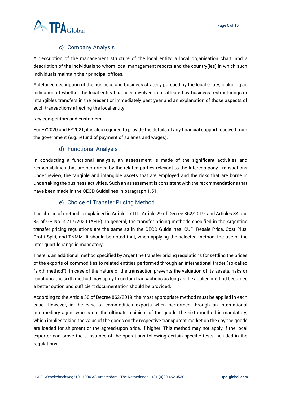

#### c) Company Analysis

<span id="page-5-0"></span>A description of the management structure of the local entity, a local organisation chart, and a description of the individuals to whom local management reports and the country(ies) in which such individuals maintain their principal offices.

A detailed description of the business and business strategy pursued by the local entity, including an indication of whether the local entity has been involved in or affected by business restructurings or intangibles transfers in the present or immediately past year and an explanation of those aspects of such transactions affecting the local entity.

Key competitors and customers.

For FY2020 and FY2021, it is also required to provide the details of any financial support received from the government (e.g. refund of payment of salaries and wages).

#### d) Functional Analysis

<span id="page-5-1"></span>In conducting a functional analysis, an assessment is made of the significant activities and responsibilities that are performed by the related parties relevant to the Intercompany Transactions under review, the tangible and intangible assets that are employed and the risks that are borne in undertaking the business activities. Such an assessment is consistent with the recommendations that have been made in the OECD Guidelines in paragraph 1.51.

#### e) Choice of Transfer Pricing Method

<span id="page-5-2"></span>The choice of method is explained in Article 17 ITL, Article 29 of Decree 862/2019, and Articles 34 and 35 of GR No. 4,717/2020 (AFIP). In general, the transfer pricing methods specified in the Argentine transfer pricing regulations are the same as in the OECD Guidelines: CUP, Resale Price, Cost Plus, Profit Split, and TNMM. It should be noted that, when applying the selected method, the use of the inter-quartile range is mandatory.

There is an additional method specified by Argentine transfer pricing regulations for settling the prices of the exports of commodities to related entities performed through an international trader (so-called "sixth method"). In case of the nature of the transaction prevents the valuation of its assets, risks or functions, the sixth method may apply to certain transactions as long as the applied method becomes a better option and sufficient documentation should be provided.

According to the Article 30 of Decree 862/2019, the most appropriate method must be applied in each case. However, in the case of commodities exports when performed through an international intermediary agent who is not the ultimate recipient of the goods, the sixth method is mandatory, which implies taking the value of the goods on the respective transparent market on the day the goods are loaded for shipment or the agreed-upon price, if higher. This method may not apply if the local exporter can prove the substance of the operations following certain specific tests included in the regulations.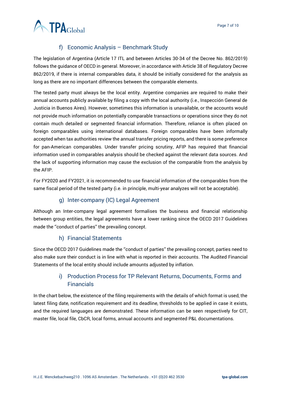

#### f) Economic Analysis – Benchmark Study

<span id="page-6-0"></span>The legislation of Argentina (Article 17 ITL and between Articles 30-34 of the Decree No. 862/2019) follows the guidance of OECD in general. Moreover, in accordance with Article 38 of Regulatory Decree 862/2019, if there is internal comparables data, it should be initially considered for the analysis as long as there are no important differences between the comparable elements.

The tested party must always be the local entity. Argentine companies are required to make their annual accounts publicly available by filing a copy with the local authority (i.e., Inspección General de Justicia in Buenos Aires). However, sometimes this information is unavailable, or the accounts would not provide much information on potentially comparable transactions or operations since they do not contain much detailed or segmented financial information. Therefore, reliance is often placed on foreign comparables using international databases. Foreign comparables have been informally accepted when tax authorities review the annual transfer pricing reports, and there is some preference for pan-American comparables. Under transfer pricing scrutiny, AFIP has required that financial information used in comparables analysis should be checked against the relevant data sources. And the lack of supporting information may cause the exclusion of the comparable from the analysis by the AFIP.

For FY2020 and FY2021, it is recommended to use financial information of the comparables from the same fiscal period of the tested party (i.e. in principle, multi-year analyzes will not be acceptable).

#### g) Inter-company (IC) Legal Agreement

<span id="page-6-1"></span>Although an Inter-company legal agreement formalises the business and financial relationship between group entities, the legal agreements have a lower ranking since the OECD 2017 Guidelines made the ''conduct of parties'' the prevailing concept.

#### h) Financial Statements

<span id="page-6-2"></span>Since the OECD 2017 Guidelines made the ''conduct of parties'' the prevailing concept, parties need to also make sure their conduct is in line with what is reported in their accounts. The Audited Financial Statements of the local entity should include amounts adjusted by inflation.

### i) Production Process for TP Relevant Returns, Documents, Forms and Financials

<span id="page-6-3"></span>In the chart below, the existence of the filing requirements with the details of which format is used, the latest filing date, notification requirement and its deadline, thresholds to be applied in case it exists, and the required languages are demonstrated. These information can be seen respectively for CIT, master file, local file, CbCR, local forms, annual accounts and segmented P&L documentations.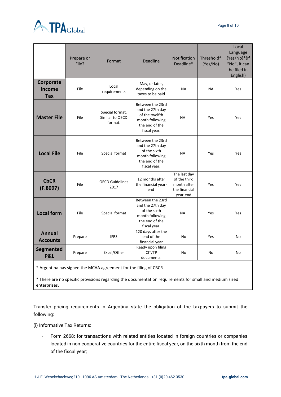



|                                          | Prepare or<br>File? | Format                                        | <b>Deadline</b>                                                                                             | <b>Notification</b><br>Deadline*                                         | Threshold*<br>(Yes/No) | Local<br>Language<br>(Yes/No)*(If<br>"No", it can<br>be filed in<br>English) |
|------------------------------------------|---------------------|-----------------------------------------------|-------------------------------------------------------------------------------------------------------------|--------------------------------------------------------------------------|------------------------|------------------------------------------------------------------------------|
| Corporate<br><b>Income</b><br><b>Tax</b> | File                | Local<br>requirements                         | May, or later,<br>depending on the<br>taxes to be paid                                                      | <b>NA</b>                                                                | <b>NA</b>              | Yes                                                                          |
| <b>Master File</b>                       | File                | Special format.<br>Similar to OECD<br>format. | Between the 23rd<br>and the 27th day<br>of the twelfth<br>month following<br>the end of the<br>fiscal year. | <b>NA</b>                                                                | Yes                    | Yes                                                                          |
| <b>Local File</b>                        | File                | Special format                                | Between the 23rd<br>and the 27th day<br>of the sixth<br>month following<br>the end of the<br>fiscal year.   | <b>NA</b>                                                                | Yes                    | Yes                                                                          |
| <b>CbCR</b><br>(F.8097)                  | File                | <b>OECD Guidelines</b><br>2017                | 12 months after<br>the financial year-<br>end                                                               | The last day<br>of the third<br>month after<br>the financial<br>year-end | Yes                    | Yes                                                                          |
| <b>Local form</b>                        | File                | Special format                                | Between the 23rd<br>and the 27th day<br>of the sixth<br>month following<br>the end of the<br>fiscal year.   | <b>NA</b>                                                                | Yes                    | Yes                                                                          |
| <b>Annual</b><br><b>Accounts</b>         | Prepare             | <b>IFRS</b>                                   | 120 days after the<br>end of the<br>financial year                                                          | No                                                                       | Yes                    | No                                                                           |
| <b>Segmented</b><br><b>P&amp;L</b>       | Prepare             | Excel/Other                                   | Ready upon filing<br>CIT/TP<br>documents.                                                                   | No                                                                       | No                     | No                                                                           |

\* Argentina has signed the MCAA agreement for the filing of CBCR.

\* There are no specific provisions regarding the documentation requirements for small and medium sized enterprises.

Transfer pricing requirements in Argentina state the obligation of the taxpayers to submit the following:

(i) Informative Tax Returns:

- Form 2668: for transactions with related entities located in foreign countries or companies located in non-cooperative countries for the entire fiscal year, on the sixth month from the end of the fiscal year;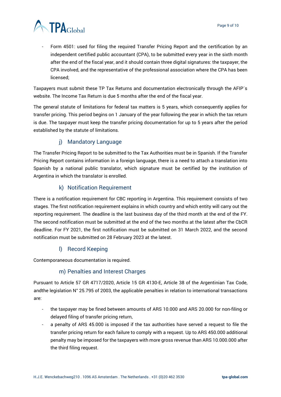

Form 4501: used for filing the required Transfer Pricing Report and the certification by an independent certified public accountant (CPA), to be submitted every year in the sixth month after the end of the fiscal year, and it should contain three digital signatures: the taxpayer, the CPA involved, and the representative of the professional association where the CPA has been licensed;

Taxpayers must submit these TP Tax Returns and documentation electronically through the AFIP´s website. The Income Tax Return is due 5 months after the end of the fiscal year.

The general statute of limitations for federal tax matters is 5 years, which consequently applies for transfer pricing. This period begins on 1 January of the year following the year in which the tax return is due. The taxpayer must keep the transfer pricing documentation for up to 5 years after the period established by the statute of limitations.

#### j) Mandatory Language

<span id="page-8-0"></span>The Transfer Pricing Report to be submitted to the Tax Authorities must be in Spanish. If the Transfer Pricing Report contains information in a foreign language, there is a need to attach a translation into Spanish by a national public translator, which signature must be certified by the institution of Argentina in which the translator is enrolled.

#### k) Notification Requirement

<span id="page-8-1"></span>There is a notification requirement for CBC reporting in Argentina. This requirement consists of two stages. The first notification requirement explains in which country and which entity will carry out the reporting requirement. The deadline is the last business day of the third month at the end of the FY. The second notification must be submitted at the end of the two months at the latest after the CbCR deadline. For FY 2021, the first notification must be submitted on 31 March 2022, and the second notification must be submitted on 28 February 2023 at the latest.

#### l) Record Keeping

<span id="page-8-3"></span><span id="page-8-2"></span>Contemporaneous documentation is required.

#### m) Penalties and Interest Charges

Pursuant to Article 57 GR 4717/2020, Article 15 GR 4130-E, Article 38 of the Argentinian Tax Code, andthe legislation N° 25.795 of 2003, the applicable penalties in relation to international transactions are:

- the taxpayer may be fined between amounts of ARS 10.000 and ARS 20.000 for non-filing or delayed filing of transfer pricing return,
- a penalty of ARS 45.000 is imposed if the tax authorities have served a request to file the transfer pricing return for each failure to comply with a request. Up to ARS 450.000 additional penalty may be imposed for the taxpayers with more gross revenue than ARS 10.000.000 after the third filing request.